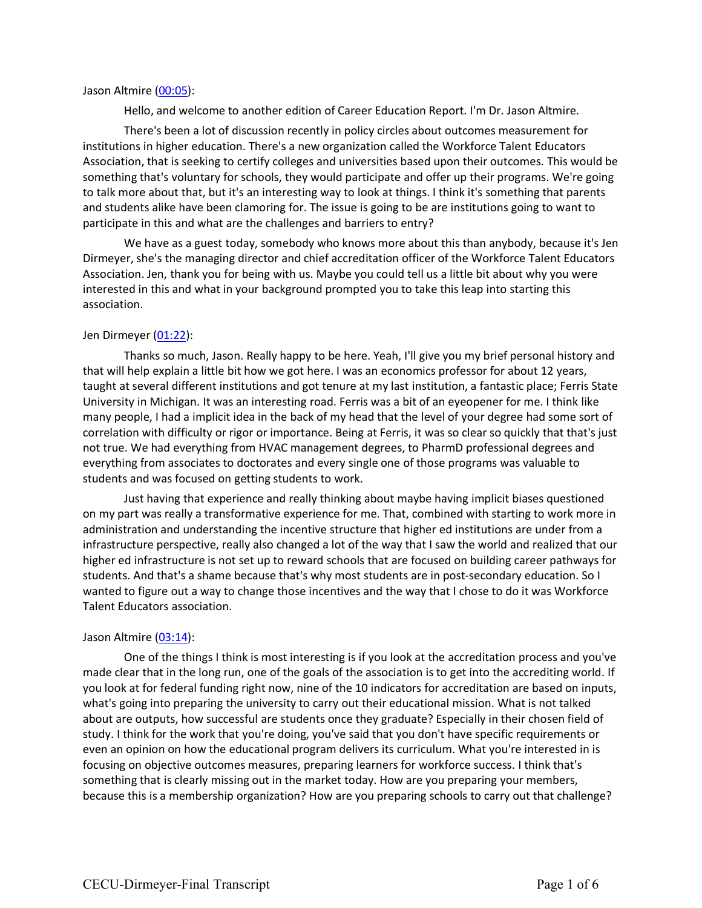### Jason Altmire (00:05):

Hello, and welcome to another edition of Career Education Report. I'm Dr. Jason Altmire.

There's been a lot of discussion recently in policy circles about outcomes measurement for institutions in higher education. There's a new organization called the Workforce Talent Educators Association, that is seeking to certify colleges and universities based upon their outcomes. This would be something that's voluntary for schools, they would participate and offer up their programs. We're going to talk more about that, but it's an interesting way to look at things. I think it's something that parents and students alike have been clamoring for. The issue is going to be are institutions going to want to participate in this and what are the challenges and barriers to entry?

We have as a guest today, somebody who knows more about this than anybody, because it's Jen Dirmeyer, she's the managing director and chief accreditation officer of the Workforce Talent Educators Association. Jen, thank you for being with us. Maybe you could tell us a little bit about why you were interested in this and what in your background prompted you to take this leap into starting this association.

### Jen Dirmeyer (01:22):

Thanks so much, Jason. Really happy to be here. Yeah, I'll give you my brief personal history and that will help explain a little bit how we got here. I was an economics professor for about 12 years, taught at several different institutions and got tenure at my last institution, a fantastic place; Ferris State University in Michigan. It was an interesting road. Ferris was a bit of an eyeopener for me. I think like many people, I had a implicit idea in the back of my head that the level of your degree had some sort of correlation with difficulty or rigor or importance. Being at Ferris, it was so clear so quickly that that's just not true. We had everything from HVAC management degrees, to PharmD professional degrees and everything from associates to doctorates and every single one of those programs was valuable to students and was focused on getting students to work.

Just having that experience and really thinking about maybe having implicit biases questioned on my part was really a transformative experience for me. That, combined with starting to work more in administration and understanding the incentive structure that higher ed institutions are under from a infrastructure perspective, really also changed a lot of the way that I saw the world and realized that our higher ed infrastructure is not set up to reward schools that are focused on building career pathways for students. And that's a shame because that's why most students are in post-secondary education. So I wanted to figure out a way to change those incentives and the way that I chose to do it was Workforce Talent Educators association.

# Jason Altmire (03:14):

One of the things I think is most interesting is if you look at the accreditation process and you've made clear that in the long run, one of the goals of the association is to get into the accrediting world. If you look at for federal funding right now, nine of the 10 indicators for accreditation are based on inputs, what's going into preparing the university to carry out their educational mission. What is not talked about are outputs, how successful are students once they graduate? Especially in their chosen field of study. I think for the work that you're doing, you've said that you don't have specific requirements or even an opinion on how the educational program delivers its curriculum. What you're interested in is focusing on objective outcomes measures, preparing learners for workforce success. I think that's something that is clearly missing out in the market today. How are you preparing your members, because this is a membership organization? How are you preparing schools to carry out that challenge?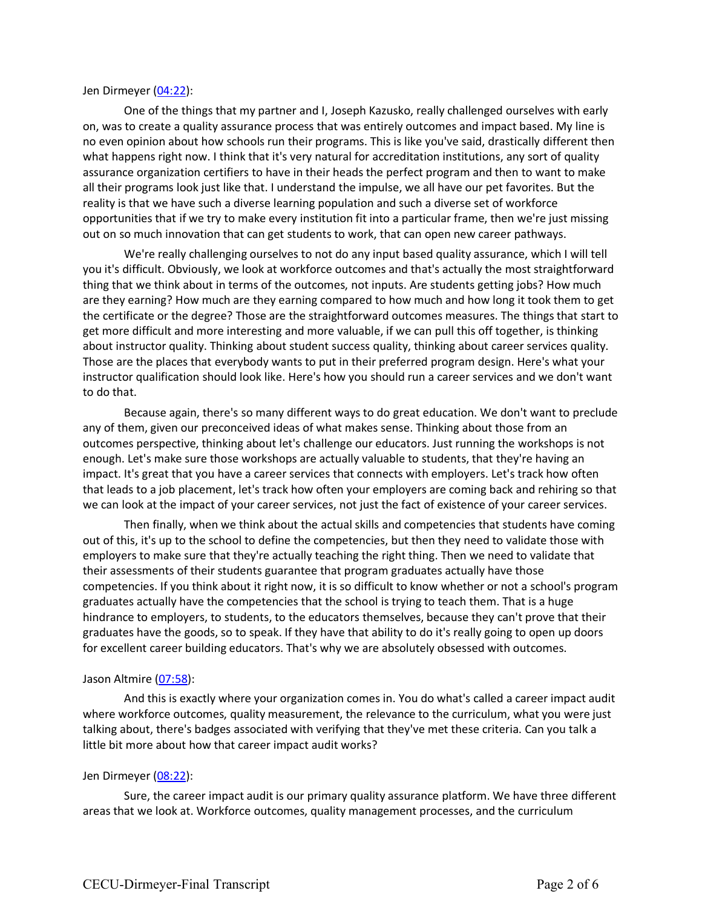Jen Dirmeyer (04:22):

One of the things that my partner and I, Joseph Kazusko, really challenged ourselves with early on, was to create a quality assurance process that was entirely outcomes and impact based. My line is no even opinion about how schools run their programs. This is like you've said, drastically different then what happens right now. I think that it's very natural for accreditation institutions, any sort of quality assurance organization certifiers to have in their heads the perfect program and then to want to make all their programs look just like that. I understand the impulse, we all have our pet favorites. But the reality is that we have such a diverse learning population and such a diverse set of workforce opportunities that if we try to make every institution fit into a particular frame, then we're just missing out on so much innovation that can get students to work, that can open new career pathways.

We're really challenging ourselves to not do any input based quality assurance, which I will tell you it's difficult. Obviously, we look at workforce outcomes and that's actually the most straightforward thing that we think about in terms of the outcomes, not inputs. Are students getting jobs? How much are they earning? How much are they earning compared to how much and how long it took them to get the certificate or the degree? Those are the straightforward outcomes measures. The things that start to get more difficult and more interesting and more valuable, if we can pull this off together, is thinking about instructor quality. Thinking about student success quality, thinking about career services quality. Those are the places that everybody wants to put in their preferred program design. Here's what your instructor qualification should look like. Here's how you should run a career services and we don't want to do that.

Because again, there's so many different ways to do great education. We don't want to preclude any of them, given our preconceived ideas of what makes sense. Thinking about those from an outcomes perspective, thinking about let's challenge our educators. Just running the workshops is not enough. Let's make sure those workshops are actually valuable to students, that they're having an impact. It's great that you have a career services that connects with employers. Let's track how often that leads to a job placement, let's track how often your employers are coming back and rehiring so that we can look at the impact of your career services, not just the fact of existence of your career services.

Then finally, when we think about the actual skills and competencies that students have coming out of this, it's up to the school to define the competencies, but then they need to validate those with employers to make sure that they're actually teaching the right thing. Then we need to validate that their assessments of their students guarantee that program graduates actually have those competencies. If you think about it right now, it is so difficult to know whether or not a school's program graduates actually have the competencies that the school is trying to teach them. That is a huge hindrance to employers, to students, to the educators themselves, because they can't prove that their graduates have the goods, so to speak. If they have that ability to do it's really going to open up doors for excellent career building educators. That's why we are absolutely obsessed with outcomes.

### Jason Altmire (07:58):

And this is exactly where your organization comes in. You do what's called a career impact audit where workforce outcomes, quality measurement, the relevance to the curriculum, what you were just talking about, there's badges associated with verifying that they've met these criteria. Can you talk a little bit more about how that career impact audit works?

# Jen Dirmeyer (08:22):

Sure, the career impact audit is our primary quality assurance platform. We have three different areas that we look at. Workforce outcomes, quality management processes, and the curriculum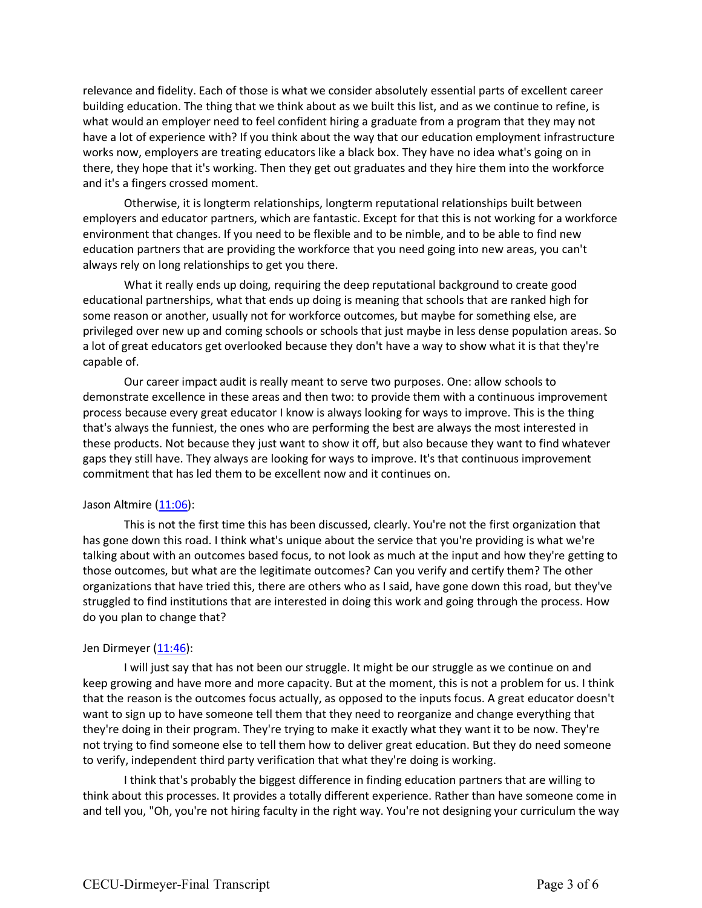relevance and fidelity. Each of those is what we consider absolutely essential parts of excellent career building education. The thing that we think about as we built this list, and as we continue to refine, is what would an employer need to feel confident hiring a graduate from a program that they may not have a lot of experience with? If you think about the way that our education employment infrastructure works now, employers are treating educators like a black box. They have no idea what's going on in there, they hope that it's working. Then they get out graduates and they hire them into the workforce and it's a fingers crossed moment.

Otherwise, it is longterm relationships, longterm reputational relationships built between employers and educator partners, which are fantastic. Except for that this is not working for a workforce environment that changes. If you need to be flexible and to be nimble, and to be able to find new education partners that are providing the workforce that you need going into new areas, you can't always rely on long relationships to get you there.

What it really ends up doing, requiring the deep reputational background to create good educational partnerships, what that ends up doing is meaning that schools that are ranked high for some reason or another, usually not for workforce outcomes, but maybe for something else, are privileged over new up and coming schools or schools that just maybe in less dense population areas. So a lot of great educators get overlooked because they don't have a way to show what it is that they're capable of.

Our career impact audit is really meant to serve two purposes. One: allow schools to demonstrate excellence in these areas and then two: to provide them with a continuous improvement process because every great educator I know is always looking for ways to improve. This is the thing that's always the funniest, the ones who are performing the best are always the most interested in these products. Not because they just want to show it off, but also because they want to find whatever gaps they still have. They always are looking for ways to improve. It's that continuous improvement commitment that has led them to be excellent now and it continues on.

### Jason Altmire (11:06):

This is not the first time this has been discussed, clearly. You're not the first organization that has gone down this road. I think what's unique about the service that you're providing is what we're talking about with an outcomes based focus, to not look as much at the input and how they're getting to those outcomes, but what are the legitimate outcomes? Can you verify and certify them? The other organizations that have tried this, there are others who as I said, have gone down this road, but they've struggled to find institutions that are interested in doing this work and going through the process. How do you plan to change that?

# Jen Dirmeyer (11:46):

I will just say that has not been our struggle. It might be our struggle as we continue on and keep growing and have more and more capacity. But at the moment, this is not a problem for us. I think that the reason is the outcomes focus actually, as opposed to the inputs focus. A great educator doesn't want to sign up to have someone tell them that they need to reorganize and change everything that they're doing in their program. They're trying to make it exactly what they want it to be now. They're not trying to find someone else to tell them how to deliver great education. But they do need someone to verify, independent third party verification that what they're doing is working.

I think that's probably the biggest difference in finding education partners that are willing to think about this processes. It provides a totally different experience. Rather than have someone come in and tell you, "Oh, you're not hiring faculty in the right way. You're not designing your curriculum the way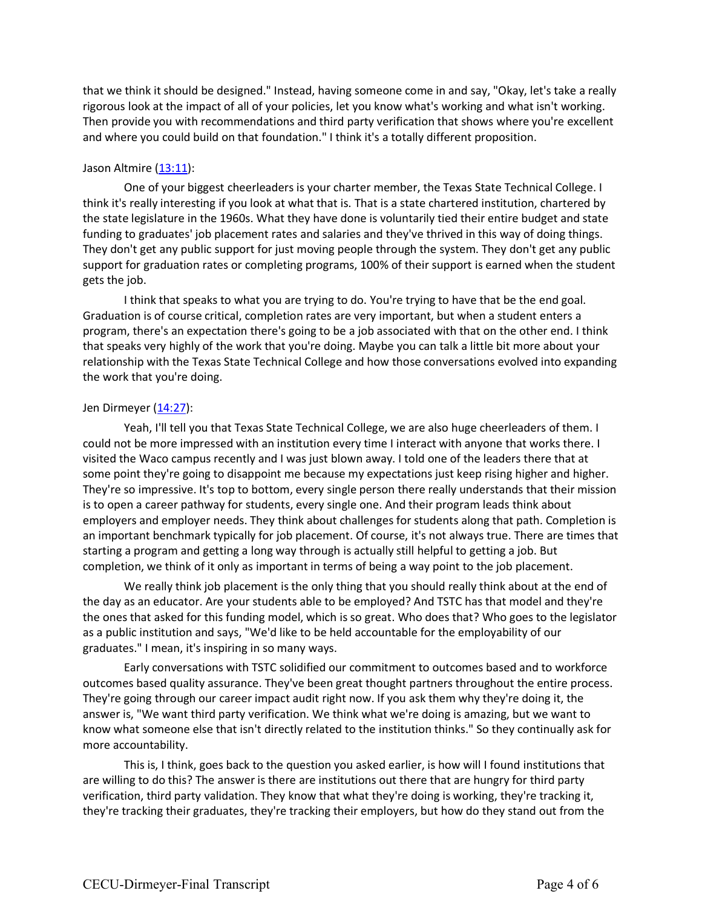that we think it should be designed." Instead, having someone come in and say, "Okay, let's take a really rigorous look at the impact of all of your policies, let you know what's working and what isn't working. Then provide you with recommendations and third party verification that shows where you're excellent and where you could build on that foundation." I think it's a totally different proposition.

## Jason Altmire (13:11):

One of your biggest cheerleaders is your charter member, the Texas State Technical College. I think it's really interesting if you look at what that is. That is a state chartered institution, chartered by the state legislature in the 1960s. What they have done is voluntarily tied their entire budget and state funding to graduates' job placement rates and salaries and they've thrived in this way of doing things. They don't get any public support for just moving people through the system. They don't get any public support for graduation rates or completing programs, 100% of their support is earned when the student gets the job.

I think that speaks to what you are trying to do. You're trying to have that be the end goal. Graduation is of course critical, completion rates are very important, but when a student enters a program, there's an expectation there's going to be a job associated with that on the other end. I think that speaks very highly of the work that you're doing. Maybe you can talk a little bit more about your relationship with the Texas State Technical College and how those conversations evolved into expanding the work that you're doing.

### Jen Dirmeyer (14:27):

Yeah, I'll tell you that Texas State Technical College, we are also huge cheerleaders of them. I could not be more impressed with an institution every time I interact with anyone that works there. I visited the Waco campus recently and I was just blown away. I told one of the leaders there that at some point they're going to disappoint me because my expectations just keep rising higher and higher. They're so impressive. It's top to bottom, every single person there really understands that their mission is to open a career pathway for students, every single one. And their program leads think about employers and employer needs. They think about challenges for students along that path. Completion is an important benchmark typically for job placement. Of course, it's not always true. There are times that starting a program and getting a long way through is actually still helpful to getting a job. But completion, we think of it only as important in terms of being a way point to the job placement.

We really think job placement is the only thing that you should really think about at the end of the day as an educator. Are your students able to be employed? And TSTC has that model and they're the ones that asked for this funding model, which is so great. Who does that? Who goes to the legislator as a public institution and says, "We'd like to be held accountable for the employability of our graduates." I mean, it's inspiring in so many ways.

Early conversations with TSTC solidified our commitment to outcomes based and to workforce outcomes based quality assurance. They've been great thought partners throughout the entire process. They're going through our career impact audit right now. If you ask them why they're doing it, the answer is, "We want third party verification. We think what we're doing is amazing, but we want to know what someone else that isn't directly related to the institution thinks." So they continually ask for more accountability.

This is, I think, goes back to the question you asked earlier, is how will I found institutions that are willing to do this? The answer is there are institutions out there that are hungry for third party verification, third party validation. They know that what they're doing is working, they're tracking it, they're tracking their graduates, they're tracking their employers, but how do they stand out from the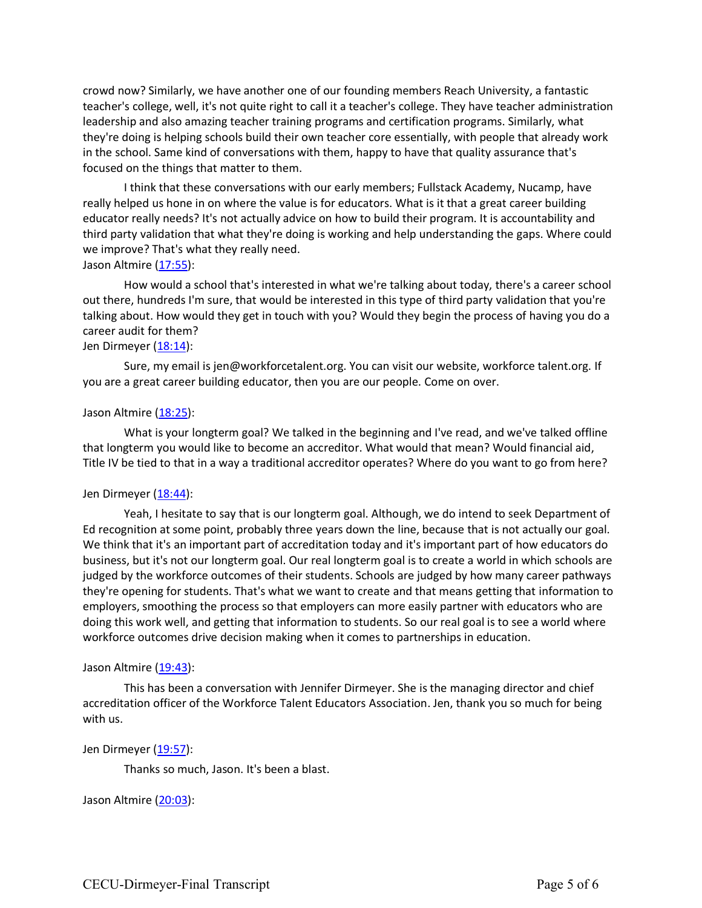crowd now? Similarly, we have another one of our founding members Reach University, a fantastic teacher's college, well, it's not quite right to call it a teacher's college. They have teacher administration leadership and also amazing teacher training programs and certification programs. Similarly, what they're doing is helping schools build their own teacher core essentially, with people that already work in the school. Same kind of conversations with them, happy to have that quality assurance that's focused on the things that matter to them.

I think that these conversations with our early members; Fullstack Academy, Nucamp, have really helped us hone in on where the value is for educators. What is it that a great career building educator really needs? It's not actually advice on how to build their program. It is accountability and third party validation that what they're doing is working and help understanding the gaps. Where could we improve? That's what they really need.

### Jason Altmire (17:55):

How would a school that's interested in what we're talking about today, there's a career school out there, hundreds I'm sure, that would be interested in this type of third party validation that you're talking about. How would they get in touch with you? Would they begin the process of having you do a career audit for them?

## Jen Dirmeyer (18:14):

Sure, my email is jen@workforcetalent.org. You can visit our website, workforce talent.org. If you are a great career building educator, then you are our people. Come on over.

### Jason Altmire (18:25):

What is your longterm goal? We talked in the beginning and I've read, and we've talked offline that longterm you would like to become an accreditor. What would that mean? Would financial aid, Title IV be tied to that in a way a traditional accreditor operates? Where do you want to go from here?

# Jen Dirmeyer (18:44):

Yeah, I hesitate to say that is our longterm goal. Although, we do intend to seek Department of Ed recognition at some point, probably three years down the line, because that is not actually our goal. We think that it's an important part of accreditation today and it's important part of how educators do business, but it's not our longterm goal. Our real longterm goal is to create a world in which schools are judged by the workforce outcomes of their students. Schools are judged by how many career pathways they're opening for students. That's what we want to create and that means getting that information to employers, smoothing the process so that employers can more easily partner with educators who are doing this work well, and getting that information to students. So our real goal is to see a world where workforce outcomes drive decision making when it comes to partnerships in education.

### Jason Altmire (19:43):

This has been a conversation with Jennifer Dirmeyer. She is the managing director and chief accreditation officer of the Workforce Talent Educators Association. Jen, thank you so much for being with us.

# Jen Dirmeyer (19:57):

Thanks so much, Jason. It's been a blast.

### Jason Altmire (20:03):